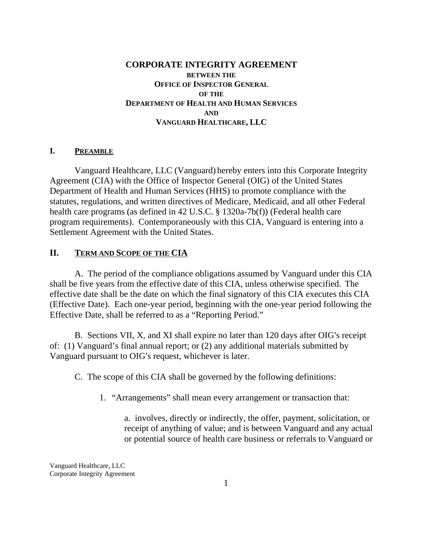## **CORPORATE INTEGRITY AGREEMENT BETWEEN THE OFFICE OF INSPECTOR GENERAL OF THE DEPARTMENT OF HEALTH AND HUMAN SERVICES AND VANGUARD HEALTHCARE, LLC**

#### **I. PREAMBLE**

Vanguard Healthcare, LLC (Vanguard) hereby enters into this Corporate Integrity Agreement (CIA) with the Office of Inspector General (OIG) of the United States Department of Health and Human Services (HHS) to promote compliance with the statutes, regulations, and written directives of Medicare, Medicaid, and all other Federal health care programs (as defined in 42 U.S.C. § 1320a-7b(f)) (Federal health care program requirements). Contemporaneously with this CIA, Vanguard is entering into a Settlement Agreement with the United States.

#### **II. TERM AND SCOPE OF THE CIA**

A. The period of the compliance obligations assumed by Vanguard under this CIA shall be five years from the effective date of this CIA, unless otherwise specified. The effective date shall be the date on which the final signatory of this CIA executes this CIA (Effective Date). Each one-year period, beginning with the one-year period following the Effective Date, shall be referred to as a "Reporting Period."

B. Sections VII, X, and XI shall expire no later than 120 days after OIG's receipt of: (1) Vanguard's final annual report; or (2) any additional materials submitted by Vanguard pursuant to OIG's request, whichever is later.

C. The scope of this CIA shall be governed by the following definitions:

1. "Arrangements" shall mean every arrangement or transaction that:

a. involves, directly or indirectly, the offer, payment, solicitation, or receipt of anything of value; and is between Vanguard and any actual or potential source of health care business or referrals to Vanguard or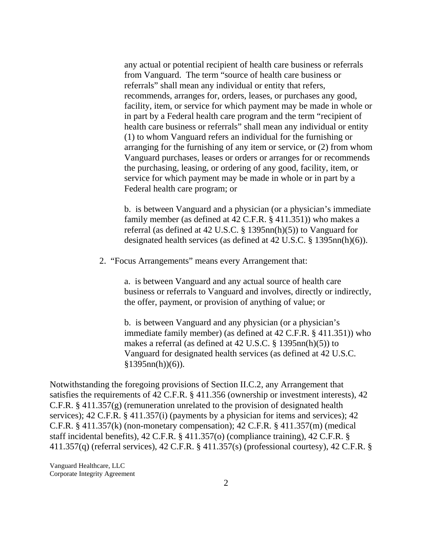any actual or potential recipient of health care business or referrals from Vanguard. The term "source of health care business or referrals" shall mean any individual or entity that refers, recommends, arranges for, orders, leases, or purchases any good, facility, item, or service for which payment may be made in whole or in part by a Federal health care program and the term "recipient of health care business or referrals" shall mean any individual or entity (1) to whom Vanguard refers an individual for the furnishing or arranging for the furnishing of any item or service, or (2) from whom Vanguard purchases, leases or orders or arranges for or recommends the purchasing, leasing, or ordering of any good, facility, item, or service for which payment may be made in whole or in part by a Federal health care program; or

b. is between Vanguard and a physician (or a physician's immediate family member (as defined at 42 C.F.R. § 411.351)) who makes a referral (as defined at 42 U.S.C. § 1395nn(h)(5)) to Vanguard for designated health services (as defined at 42 U.S.C. § 1395nn(h)(6)).

2. "Focus Arrangements" means every Arrangement that:

a. is between Vanguard and any actual source of health care business or referrals to Vanguard and involves, directly or indirectly, the offer, payment, or provision of anything of value; or

b. is between Vanguard and any physician (or a physician's immediate family member) (as defined at 42 C.F.R. § 411.351)) who makes a referral (as defined at 42 U.S.C. § 1395nn(h)(5)) to Vanguard for designated health services (as defined at 42 U.S.C.  $$1395nn(h)(6)$ ).

Notwithstanding the foregoing provisions of Section II.C.2, any Arrangement that satisfies the requirements of 42 C.F.R. § 411.356 (ownership or investment interests), 42 C.F.R.  $\S$  411.357(g) (remuneration unrelated to the provision of designated health services); 42 C.F.R. § 411.357(i) (payments by a physician for items and services); 42 C.F.R. § 411.357(k) (non-monetary compensation); 42 C.F.R. § 411.357(m) (medical staff incidental benefits), 42 C.F.R. § 411.357(o) (compliance training), 42 C.F.R. § 411.357(q) (referral services), 42 C.F.R. § 411.357(s) (professional courtesy), 42 C.F.R. §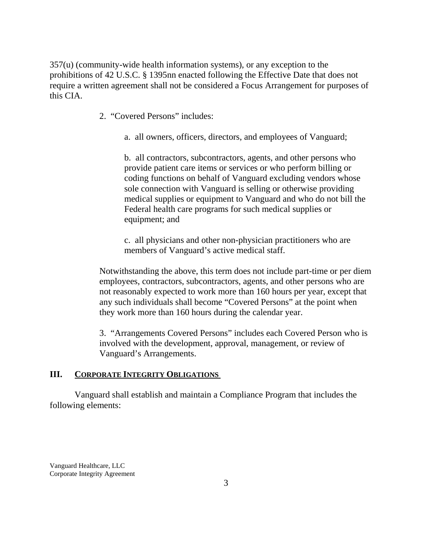357(u) (community-wide health information systems), or any exception to the prohibitions of 42 U.S.C. § 1395nn enacted following the Effective Date that does not require a written agreement shall not be considered a Focus Arrangement for purposes of this CIA.

- 2. "Covered Persons" includes:
	- a. all owners, officers, directors, and employees of Vanguard;

b. all contractors, subcontractors, agents, and other persons who provide patient care items or services or who perform billing or coding functions on behalf of Vanguard excluding vendors whose sole connection with Vanguard is selling or otherwise providing medical supplies or equipment to Vanguard and who do not bill the Federal health care programs for such medical supplies or equipment; and

c. all physicians and other non-physician practitioners who are members of Vanguard's active medical staff.

Notwithstanding the above, this term does not include part-time or per diem employees, contractors, subcontractors, agents, and other persons who are not reasonably expected to work more than 160 hours per year, except that any such individuals shall become "Covered Persons" at the point when they work more than 160 hours during the calendar year.

3. "Arrangements Covered Persons" includes each Covered Person who is involved with the development, approval, management, or review of Vanguard's Arrangements.

## **III. CORPORATE INTEGRITY OBLIGATIONS**

Vanguard shall establish and maintain a Compliance Program that includes the following elements: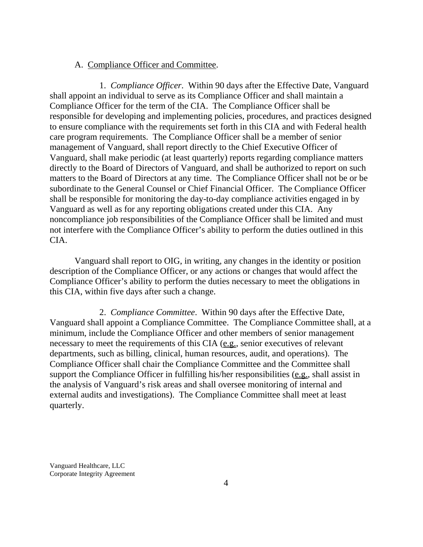#### A. Compliance Officer and Committee.

1. *Compliance Officer*. Within 90 days after the Effective Date, Vanguard shall appoint an individual to serve as its Compliance Officer and shall maintain a Compliance Officer for the term of the CIA. The Compliance Officer shall be responsible for developing and implementing policies, procedures, and practices designed to ensure compliance with the requirements set forth in this CIA and with Federal health care program requirements. The Compliance Officer shall be a member of senior management of Vanguard, shall report directly to the Chief Executive Officer of Vanguard, shall make periodic (at least quarterly) reports regarding compliance matters directly to the Board of Directors of Vanguard, and shall be authorized to report on such matters to the Board of Directors at any time. The Compliance Officer shall not be or be subordinate to the General Counsel or Chief Financial Officer. The Compliance Officer shall be responsible for monitoring the day-to-day compliance activities engaged in by Vanguard as well as for any reporting obligations created under this CIA. Any noncompliance job responsibilities of the Compliance Officer shall be limited and must not interfere with the Compliance Officer's ability to perform the duties outlined in this CIA.

Vanguard shall report to OIG, in writing, any changes in the identity or position description of the Compliance Officer, or any actions or changes that would affect the Compliance Officer's ability to perform the duties necessary to meet the obligations in this CIA, within five days after such a change.

2. *Compliance Committee*. Within 90 days after the Effective Date, Vanguard shall appoint a Compliance Committee. The Compliance Committee shall, at a minimum, include the Compliance Officer and other members of senior management necessary to meet the requirements of this CIA (e.g., senior executives of relevant departments, such as billing, clinical, human resources, audit, and operations). The Compliance Officer shall chair the Compliance Committee and the Committee shall support the Compliance Officer in fulfilling his/her responsibilities (e.g., shall assist in the analysis of Vanguard's risk areas and shall oversee monitoring of internal and external audits and investigations). The Compliance Committee shall meet at least quarterly.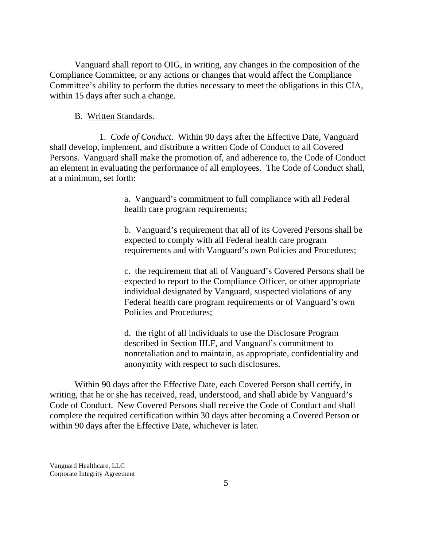Vanguard shall report to OIG, in writing, any changes in the composition of the Compliance Committee, or any actions or changes that would affect the Compliance Committee's ability to perform the duties necessary to meet the obligations in this CIA, within 15 days after such a change.

#### B. Written Standards.

1. *Code of Conduct*. Within 90 days after the Effective Date, Vanguard shall develop, implement, and distribute a written Code of Conduct to all Covered Persons. Vanguard shall make the promotion of, and adherence to, the Code of Conduct an element in evaluating the performance of all employees. The Code of Conduct shall, at a minimum, set forth:

> a. Vanguard's commitment to full compliance with all Federal health care program requirements;

b. Vanguard's requirement that all of its Covered Persons shall be expected to comply with all Federal health care program requirements and with Vanguard's own Policies and Procedures;

c. the requirement that all of Vanguard's Covered Persons shall be expected to report to the Compliance Officer, or other appropriate individual designated by Vanguard, suspected violations of any Federal health care program requirements or of Vanguard's own Policies and Procedures;

d. the right of all individuals to use the Disclosure Program described in Section III.F, and Vanguard's commitment to nonretaliation and to maintain, as appropriate, confidentiality and anonymity with respect to such disclosures.

Within 90 days after the Effective Date, each Covered Person shall certify, in writing, that he or she has received, read, understood, and shall abide by Vanguard's Code of Conduct. New Covered Persons shall receive the Code of Conduct and shall complete the required certification within 30 days after becoming a Covered Person or within 90 days after the Effective Date, whichever is later.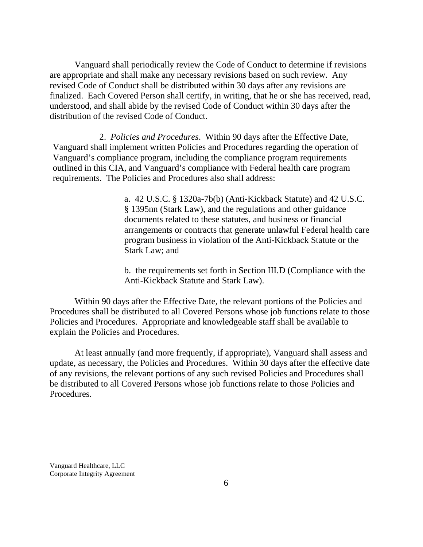Vanguard shall periodically review the Code of Conduct to determine if revisions are appropriate and shall make any necessary revisions based on such review. Any revised Code of Conduct shall be distributed within 30 days after any revisions are finalized. Each Covered Person shall certify, in writing, that he or she has received, read, understood, and shall abide by the revised Code of Conduct within 30 days after the distribution of the revised Code of Conduct.

2. *Policies and Procedures*. Within 90 days after the Effective Date, Vanguard shall implement written Policies and Procedures regarding the operation of Vanguard's compliance program, including the compliance program requirements outlined in this CIA, and Vanguard's compliance with Federal health care program requirements. The Policies and Procedures also shall address:

> a. 42 U.S.C. § 1320a-7b(b) (Anti-Kickback Statute) and 42 U.S.C. § 1395nn (Stark Law), and the regulations and other guidance documents related to these statutes, and business or financial arrangements or contracts that generate unlawful Federal health care program business in violation of the Anti-Kickback Statute or the Stark Law; and

b. the requirements set forth in Section III.D (Compliance with the Anti-Kickback Statute and Stark Law).

Within 90 days after the Effective Date, the relevant portions of the Policies and Procedures shall be distributed to all Covered Persons whose job functions relate to those Policies and Procedures. Appropriate and knowledgeable staff shall be available to explain the Policies and Procedures.

At least annually (and more frequently, if appropriate), Vanguard shall assess and update, as necessary, the Policies and Procedures. Within 30 days after the effective date of any revisions, the relevant portions of any such revised Policies and Procedures shall be distributed to all Covered Persons whose job functions relate to those Policies and Procedures.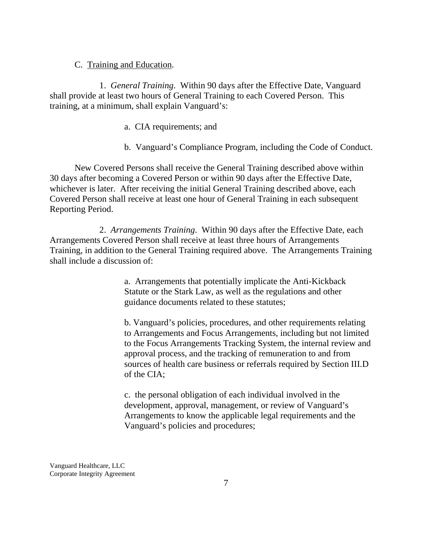#### C. Training and Education.

1. *General Training*. Within 90 days after the Effective Date, Vanguard shall provide at least two hours of General Training to each Covered Person. This training, at a minimum, shall explain Vanguard's:

- a. CIA requirements; and
- b. Vanguard's Compliance Program, including the Code of Conduct.

New Covered Persons shall receive the General Training described above within 30 days after becoming a Covered Person or within 90 days after the Effective Date, whichever is later. After receiving the initial General Training described above, each Covered Person shall receive at least one hour of General Training in each subsequent Reporting Period.

2. *Arrangements Training*. Within 90 days after the Effective Date, each Arrangements Covered Person shall receive at least three hours of Arrangements Training, in addition to the General Training required above. The Arrangements Training shall include a discussion of:

> a. Arrangements that potentially implicate the Anti-Kickback Statute or the Stark Law, as well as the regulations and other guidance documents related to these statutes;

b. Vanguard's policies, procedures, and other requirements relating to Arrangements and Focus Arrangements, including but not limited to the Focus Arrangements Tracking System, the internal review and approval process, and the tracking of remuneration to and from sources of health care business or referrals required by Section III.D of the CIA;

c. the personal obligation of each individual involved in the development, approval, management, or review of Vanguard's Arrangements to know the applicable legal requirements and the Vanguard's policies and procedures;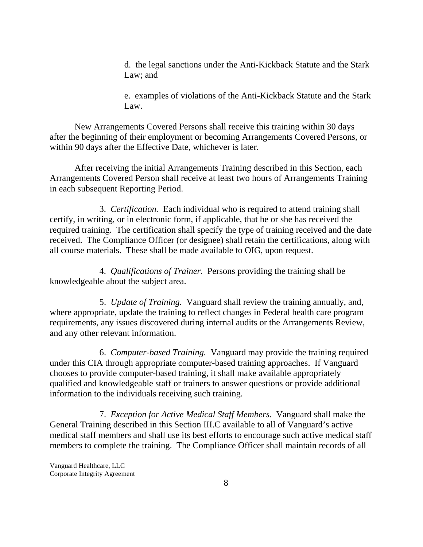d. the legal sanctions under the Anti-Kickback Statute and the Stark Law; and

e. examples of violations of the Anti-Kickback Statute and the Stark Law.

New Arrangements Covered Persons shall receive this training within 30 days after the beginning of their employment or becoming Arrangements Covered Persons, or within 90 days after the Effective Date, whichever is later.

After receiving the initial Arrangements Training described in this Section, each Arrangements Covered Person shall receive at least two hours of Arrangements Training in each subsequent Reporting Period.

3. *Certification.* Each individual who is required to attend training shall certify, in writing, or in electronic form, if applicable, that he or she has received the required training. The certification shall specify the type of training received and the date received. The Compliance Officer (or designee) shall retain the certifications, along with all course materials. These shall be made available to OIG, upon request.

4. *Qualifications of Trainer.* Persons providing the training shall be knowledgeable about the subject area.

5. *Update of Training.* Vanguard shall review the training annually, and, where appropriate, update the training to reflect changes in Federal health care program requirements, any issues discovered during internal audits or the Arrangements Review, and any other relevant information.

6. *Computer-based Training.* Vanguard may provide the training required under this CIA through appropriate computer-based training approaches. If Vanguard chooses to provide computer-based training, it shall make available appropriately qualified and knowledgeable staff or trainers to answer questions or provide additional information to the individuals receiving such training.

7. *Exception for Active Medical Staff Members*. Vanguard shall make the General Training described in this Section III.C available to all of Vanguard's active medical staff members and shall use its best efforts to encourage such active medical staff members to complete the training. The Compliance Officer shall maintain records of all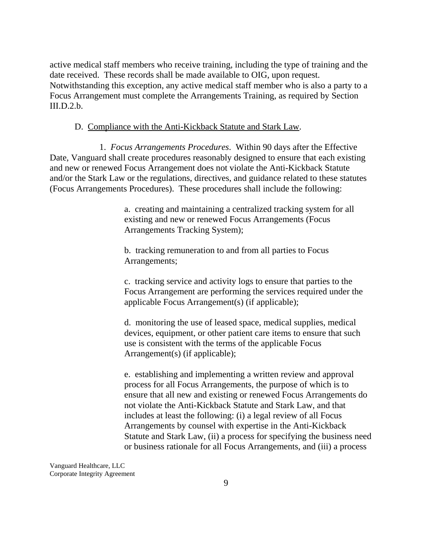active medical staff members who receive training, including the type of training and the date received. These records shall be made available to OIG, upon request. Notwithstanding this exception, any active medical staff member who is also a party to a Focus Arrangement must complete the Arrangements Training, as required by Section  $III.D.2.b.$ 

## D. Compliance with the Anti-Kickback Statute and Stark Law.

1. *Focus Arrangements Procedures*. Within 90 days after the Effective Date, Vanguard shall create procedures reasonably designed to ensure that each existing and new or renewed Focus Arrangement does not violate the Anti-Kickback Statute and/or the Stark Law or the regulations, directives, and guidance related to these statutes (Focus Arrangements Procedures). These procedures shall include the following:

> a. creating and maintaining a centralized tracking system for all existing and new or renewed Focus Arrangements (Focus Arrangements Tracking System);

b. tracking remuneration to and from all parties to Focus Arrangements;

c. tracking service and activity logs to ensure that parties to the Focus Arrangement are performing the services required under the applicable Focus Arrangement(s) (if applicable);

d. monitoring the use of leased space, medical supplies, medical devices, equipment, or other patient care items to ensure that such use is consistent with the terms of the applicable Focus Arrangement(s) (if applicable);

e. establishing and implementing a written review and approval process for all Focus Arrangements, the purpose of which is to ensure that all new and existing or renewed Focus Arrangements do not violate the Anti-Kickback Statute and Stark Law, and that includes at least the following: (i) a legal review of all Focus Arrangements by counsel with expertise in the Anti-Kickback Statute and Stark Law, (ii) a process for specifying the business need or business rationale for all Focus Arrangements, and (iii) a process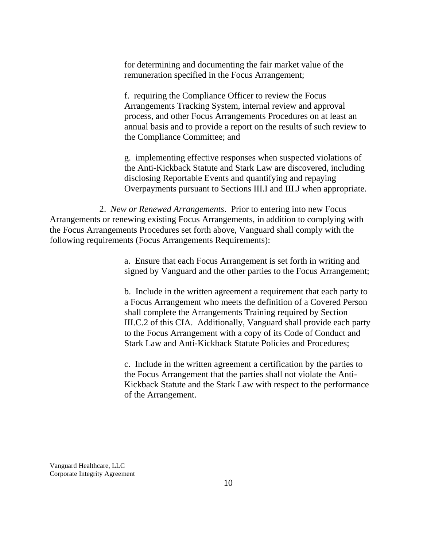for determining and documenting the fair market value of the remuneration specified in the Focus Arrangement;

f. requiring the Compliance Officer to review the Focus Arrangements Tracking System, internal review and approval process, and other Focus Arrangements Procedures on at least an annual basis and to provide a report on the results of such review to the Compliance Committee; and

g. implementing effective responses when suspected violations of the Anti-Kickback Statute and Stark Law are discovered, including disclosing Reportable Events and quantifying and repaying Overpayments pursuant to Sections III.I and III.J when appropriate.

2. *New or Renewed Arrangements*. Prior to entering into new Focus Arrangements or renewing existing Focus Arrangements, in addition to complying with the Focus Arrangements Procedures set forth above, Vanguard shall comply with the following requirements (Focus Arrangements Requirements):

> a. Ensure that each Focus Arrangement is set forth in writing and signed by Vanguard and the other parties to the Focus Arrangement;

> b. Include in the written agreement a requirement that each party to a Focus Arrangement who meets the definition of a Covered Person shall complete the Arrangements Training required by Section III.C.2 of this CIA. Additionally, Vanguard shall provide each party to the Focus Arrangement with a copy of its Code of Conduct and Stark Law and Anti-Kickback Statute Policies and Procedures;

> c. Include in the written agreement a certification by the parties to the Focus Arrangement that the parties shall not violate the Anti-Kickback Statute and the Stark Law with respect to the performance of the Arrangement.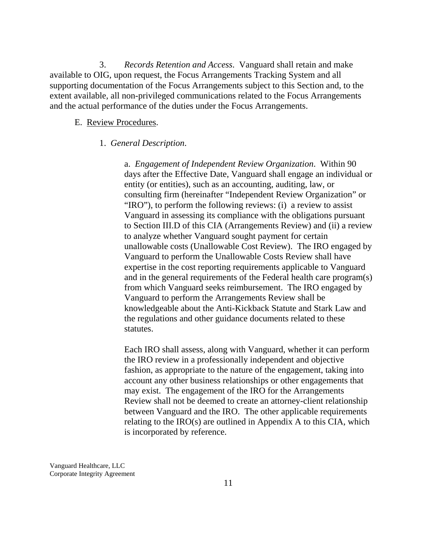3. *Records Retention and Access*. Vanguard shall retain and make available to OIG, upon request, the Focus Arrangements Tracking System and all supporting documentation of the Focus Arrangements subject to this Section and, to the extent available, all non-privileged communications related to the Focus Arrangements and the actual performance of the duties under the Focus Arrangements.

#### E. Review Procedures.

## 1. *General Description*.

a. *Engagement of Independent Review Organization*. Within 90 days after the Effective Date, Vanguard shall engage an individual or entity (or entities), such as an accounting, auditing, law, or consulting firm (hereinafter "Independent Review Organization" or "IRO"), to perform the following reviews: (i) a review to assist Vanguard in assessing its compliance with the obligations pursuant to Section III.D of this CIA (Arrangements Review) and (ii) a review to analyze whether Vanguard sought payment for certain unallowable costs (Unallowable Cost Review). The IRO engaged by Vanguard to perform the Unallowable Costs Review shall have expertise in the cost reporting requirements applicable to Vanguard and in the general requirements of the Federal health care program(s) from which Vanguard seeks reimbursement. The IRO engaged by Vanguard to perform the Arrangements Review shall be knowledgeable about the Anti-Kickback Statute and Stark Law and the regulations and other guidance documents related to these statutes.

Each IRO shall assess, along with Vanguard, whether it can perform the IRO review in a professionally independent and objective fashion, as appropriate to the nature of the engagement, taking into account any other business relationships or other engagements that may exist. The engagement of the IRO for the Arrangements Review shall not be deemed to create an attorney-client relationship between Vanguard and the IRO. The other applicable requirements relating to the IRO(s) are outlined in Appendix A to this CIA, which is incorporated by reference.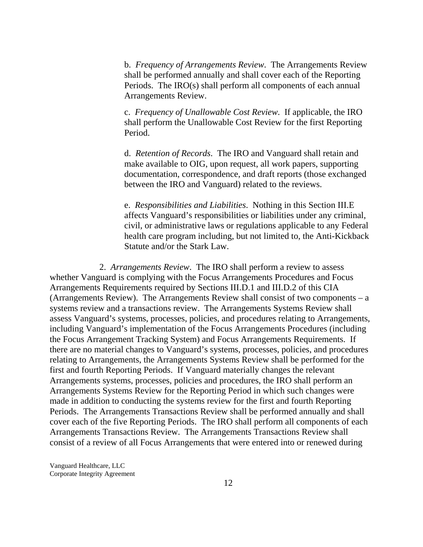b. *Frequency of Arrangements Review*. The Arrangements Review shall be performed annually and shall cover each of the Reporting Periods. The IRO(s) shall perform all components of each annual Arrangements Review.

c. *Frequency of Unallowable Cost Review*. If applicable, the IRO shall perform the Unallowable Cost Review for the first Reporting Period.

d. *Retention of Records*. The IRO and Vanguard shall retain and make available to OIG, upon request, all work papers, supporting documentation, correspondence, and draft reports (those exchanged between the IRO and Vanguard) related to the reviews.

e. *Responsibilities and Liabilities*. Nothing in this Section III.E affects Vanguard's responsibilities or liabilities under any criminal, civil, or administrative laws or regulations applicable to any Federal health care program including, but not limited to, the Anti-Kickback Statute and/or the Stark Law.

2. *Arrangements Review*. The IRO shall perform a review to assess whether Vanguard is complying with the Focus Arrangements Procedures and Focus Arrangements Requirements required by Sections III.D.1 and III.D.2 of this CIA (Arrangements Review). The Arrangements Review shall consist of two components – a systems review and a transactions review. The Arrangements Systems Review shall assess Vanguard's systems, processes, policies, and procedures relating to Arrangements, including Vanguard's implementation of the Focus Arrangements Procedures (including the Focus Arrangement Tracking System) and Focus Arrangements Requirements. If there are no material changes to Vanguard's systems, processes, policies, and procedures relating to Arrangements, the Arrangements Systems Review shall be performed for the first and fourth Reporting Periods. If Vanguard materially changes the relevant Arrangements systems, processes, policies and procedures, the IRO shall perform an Arrangements Systems Review for the Reporting Period in which such changes were made in addition to conducting the systems review for the first and fourth Reporting Periods. The Arrangements Transactions Review shall be performed annually and shall cover each of the five Reporting Periods. The IRO shall perform all components of each Arrangements Transactions Review. The Arrangements Transactions Review shall consist of a review of all Focus Arrangements that were entered into or renewed during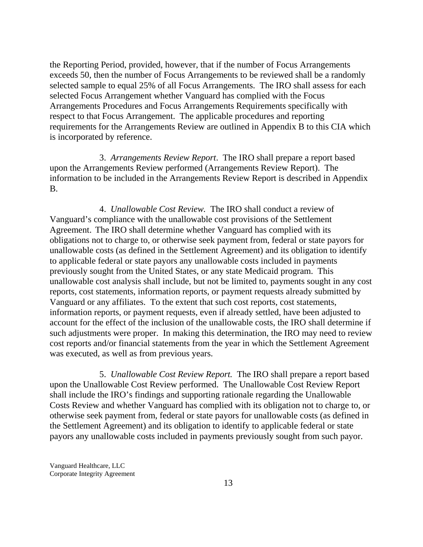the Reporting Period, provided, however, that if the number of Focus Arrangements exceeds 50, then the number of Focus Arrangements to be reviewed shall be a randomly selected sample to equal 25% of all Focus Arrangements. The IRO shall assess for each selected Focus Arrangement whether Vanguard has complied with the Focus Arrangements Procedures and Focus Arrangements Requirements specifically with respect to that Focus Arrangement. The applicable procedures and reporting requirements for the Arrangements Review are outlined in Appendix B to this CIA which is incorporated by reference.

3. *Arrangements Review Report*. The IRO shall prepare a report based upon the Arrangements Review performed (Arrangements Review Report). The information to be included in the Arrangements Review Report is described in Appendix B.

4. *Unallowable Cost Review.* The IRO shall conduct a review of Vanguard's compliance with the unallowable cost provisions of the Settlement Agreement. The IRO shall determine whether Vanguard has complied with its obligations not to charge to, or otherwise seek payment from, federal or state payors for unallowable costs (as defined in the Settlement Agreement) and its obligation to identify to applicable federal or state payors any unallowable costs included in payments previously sought from the United States, or any state Medicaid program. This unallowable cost analysis shall include, but not be limited to, payments sought in any cost reports, cost statements, information reports, or payment requests already submitted by Vanguard or any affiliates. To the extent that such cost reports, cost statements, information reports, or payment requests, even if already settled, have been adjusted to account for the effect of the inclusion of the unallowable costs, the IRO shall determine if such adjustments were proper. In making this determination, the IRO may need to review cost reports and/or financial statements from the year in which the Settlement Agreement was executed, as well as from previous years.

5. *Unallowable Cost Review Report.* The IRO shall prepare a report based upon the Unallowable Cost Review performed. The Unallowable Cost Review Report shall include the IRO's findings and supporting rationale regarding the Unallowable Costs Review and whether Vanguard has complied with its obligation not to charge to, or otherwise seek payment from, federal or state payors for unallowable costs (as defined in the Settlement Agreement) and its obligation to identify to applicable federal or state payors any unallowable costs included in payments previously sought from such payor.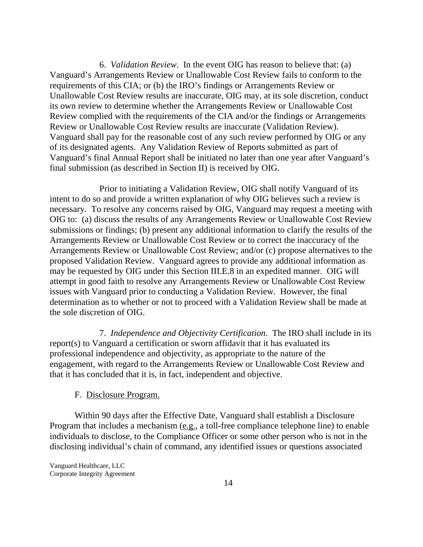6. *Validation Review*. In the event OIG has reason to believe that: (a) Vanguard's Arrangements Review or Unallowable Cost Review fails to conform to the requirements of this CIA; or (b) the IRO's findings or Arrangements Review or Unallowable Cost Review results are inaccurate, OIG may, at its sole discretion, conduct its own review to determine whether the Arrangements Review or Unallowable Cost Review complied with the requirements of the CIA and/or the findings or Arrangements Review or Unallowable Cost Review results are inaccurate (Validation Review). Vanguard shall pay for the reasonable cost of any such review performed by OIG or any of its designated agents. Any Validation Review of Reports submitted as part of Vanguard's final Annual Report shall be initiated no later than one year after Vanguard's final submission (as described in Section II) is received by OIG.

Prior to initiating a Validation Review, OIG shall notify Vanguard of its intent to do so and provide a written explanation of why OIG believes such a review is necessary. To resolve any concerns raised by OIG, Vanguard may request a meeting with OIG to: (a) discuss the results of any Arrangements Review or Unallowable Cost Review submissions or findings; (b) present any additional information to clarify the results of the Arrangements Review or Unallowable Cost Review or to correct the inaccuracy of the Arrangements Review or Unallowable Cost Review; and/or (c) propose alternatives to the proposed Validation Review. Vanguard agrees to provide any additional information as may be requested by OIG under this Section III.E.8 in an expedited manner. OIG will attempt in good faith to resolve any Arrangements Review or Unallowable Cost Review issues with Vanguard prior to conducting a Validation Review. However, the final determination as to whether or not to proceed with a Validation Review shall be made at the sole discretion of OIG.

7. *Independence and Objectivity Certification*. The IRO shall include in its report(s) to Vanguard a certification or sworn affidavit that it has evaluated its professional independence and objectivity, as appropriate to the nature of the engagement, with regard to the Arrangements Review or Unallowable Cost Review and that it has concluded that it is, in fact, independent and objective.

### F. Disclosure Program.

Within 90 days after the Effective Date, Vanguard shall establish a Disclosure Program that includes a mechanism (e.g., a toll-free compliance telephone line) to enable individuals to disclose, to the Compliance Officer or some other person who is not in the disclosing individual's chain of command, any identified issues or questions associated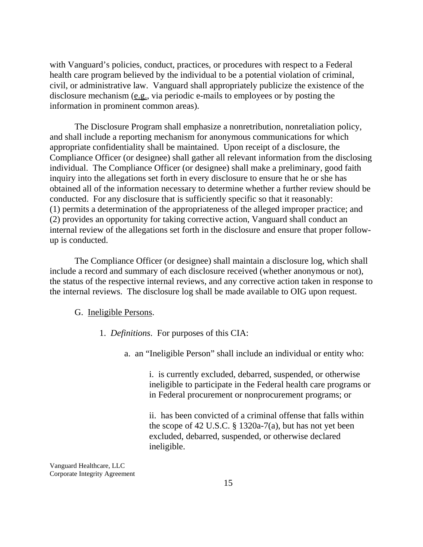with Vanguard's policies, conduct, practices, or procedures with respect to a Federal health care program believed by the individual to be a potential violation of criminal, civil, or administrative law. Vanguard shall appropriately publicize the existence of the disclosure mechanism (e.g., via periodic e-mails to employees or by posting the information in prominent common areas).

The Disclosure Program shall emphasize a nonretribution, nonretaliation policy, and shall include a reporting mechanism for anonymous communications for which appropriate confidentiality shall be maintained. Upon receipt of a disclosure, the Compliance Officer (or designee) shall gather all relevant information from the disclosing individual. The Compliance Officer (or designee) shall make a preliminary, good faith inquiry into the allegations set forth in every disclosure to ensure that he or she has obtained all of the information necessary to determine whether a further review should be conducted. For any disclosure that is sufficiently specific so that it reasonably: (1) permits a determination of the appropriateness of the alleged improper practice; and (2) provides an opportunity for taking corrective action, Vanguard shall conduct an internal review of the allegations set forth in the disclosure and ensure that proper followup is conducted.

The Compliance Officer (or designee) shall maintain a disclosure log, which shall include a record and summary of each disclosure received (whether anonymous or not), the status of the respective internal reviews, and any corrective action taken in response to the internal reviews. The disclosure log shall be made available to OIG upon request.

#### G. Ineligible Persons.

- 1. *Definitions*. For purposes of this CIA:
	- a. an "Ineligible Person" shall include an individual or entity who:

i. is currently excluded, debarred, suspended, or otherwise ineligible to participate in the Federal health care programs or in Federal procurement or nonprocurement programs; or

ii. has been convicted of a criminal offense that falls within the scope of 42 U.S.C. § 1320a-7(a), but has not yet been excluded, debarred, suspended, or otherwise declared ineligible.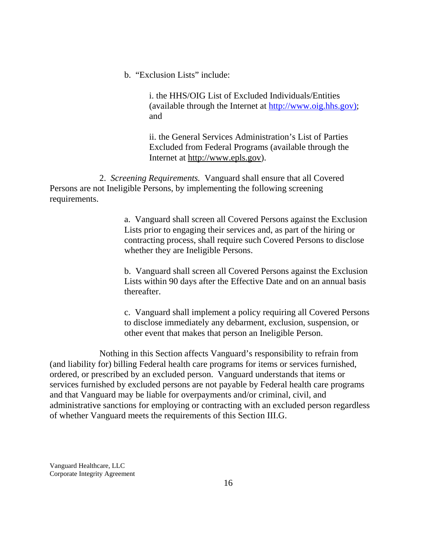b. "Exclusion Lists" include:

i. the HHS/OIG List of Excluded Individuals/Entities (available through the Internet at http://www.oig.hhs.gov); and

ii. the General Services Administration's List of Parties Excluded from Federal Programs (available through the Internet at http://www.epls.gov).

2. *Screening Requirements.* Vanguard shall ensure that all Covered Persons are not Ineligible Persons, by implementing the following screening requirements.

> a. Vanguard shall screen all Covered Persons against the Exclusion Lists prior to engaging their services and, as part of the hiring or contracting process, shall require such Covered Persons to disclose whether they are Ineligible Persons.

> b. Vanguard shall screen all Covered Persons against the Exclusion Lists within 90 days after the Effective Date and on an annual basis thereafter.

c. Vanguard shall implement a policy requiring all Covered Persons to disclose immediately any debarment, exclusion, suspension, or other event that makes that person an Ineligible Person.

Nothing in this Section affects Vanguard's responsibility to refrain from (and liability for) billing Federal health care programs for items or services furnished, ordered, or prescribed by an excluded person. Vanguard understands that items or services furnished by excluded persons are not payable by Federal health care programs and that Vanguard may be liable for overpayments and/or criminal, civil, and administrative sanctions for employing or contracting with an excluded person regardless of whether Vanguard meets the requirements of this Section III.G.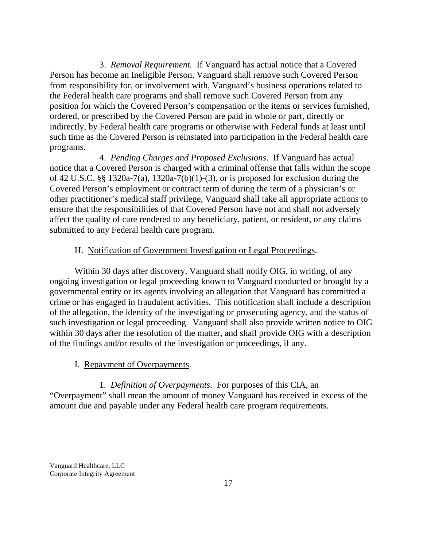3. *Removal Requirement.* If Vanguard has actual notice that a Covered Person has become an Ineligible Person, Vanguard shall remove such Covered Person from responsibility for, or involvement with, Vanguard's business operations related to the Federal health care programs and shall remove such Covered Person from any position for which the Covered Person's compensation or the items or services furnished, ordered, or prescribed by the Covered Person are paid in whole or part, directly or indirectly, by Federal health care programs or otherwise with Federal funds at least until such time as the Covered Person is reinstated into participation in the Federal health care programs.

4. *Pending Charges and Proposed Exclusions*. If Vanguard has actual notice that a Covered Person is charged with a criminal offense that falls within the scope of 42 U.S.C. §§ 1320a-7(a), 1320a-7(b)(1)-(3), or is proposed for exclusion during the Covered Person's employment or contract term of during the term of a physician's or other practitioner's medical staff privilege, Vanguard shall take all appropriate actions to ensure that the responsibilities of that Covered Person have not and shall not adversely affect the quality of care rendered to any beneficiary, patient, or resident, or any claims submitted to any Federal health care program.

## H. Notification of Government Investigation or Legal Proceedings.

Within 30 days after discovery, Vanguard shall notify OIG, in writing, of any ongoing investigation or legal proceeding known to Vanguard conducted or brought by a governmental entity or its agents involving an allegation that Vanguard has committed a crime or has engaged in fraudulent activities. This notification shall include a description of the allegation, the identity of the investigating or prosecuting agency, and the status of such investigation or legal proceeding. Vanguard shall also provide written notice to OIG within 30 days after the resolution of the matter, and shall provide OIG with a description of the findings and/or results of the investigation or proceedings, if any.

## I. Repayment of Overpayments.

1. *Definition of Overpayments*. For purposes of this CIA, an "Overpayment" shall mean the amount of money Vanguard has received in excess of the amount due and payable under any Federal health care program requirements.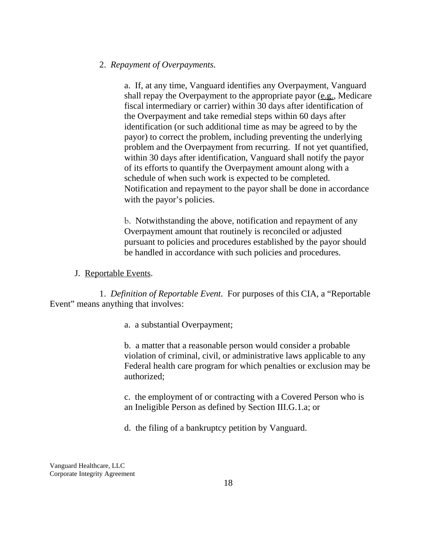## 2. *Repayment of Overpayments*.

a. If, at any time, Vanguard identifies any Overpayment, Vanguard shall repay the Overpayment to the appropriate payor (e.g., Medicare fiscal intermediary or carrier) within 30 days after identification of the Overpayment and take remedial steps within 60 days after identification (or such additional time as may be agreed to by the payor) to correct the problem, including preventing the underlying problem and the Overpayment from recurring. If not yet quantified, within 30 days after identification, Vanguard shall notify the payor of its efforts to quantify the Overpayment amount along with a schedule of when such work is expected to be completed. Notification and repayment to the payor shall be done in accordance with the payor's policies.

b. Notwithstanding the above, notification and repayment of any Overpayment amount that routinely is reconciled or adjusted pursuant to policies and procedures established by the payor should be handled in accordance with such policies and procedures.

#### J. Reportable Events.

1. *Definition of Reportable Event*.For purposes of this CIA, a "Reportable Event" means anything that involves:

a. a substantial Overpayment;

b. a matter that a reasonable person would consider a probable violation of criminal, civil, or administrative laws applicable to any Federal health care program for which penalties or exclusion may be authorized;

c. the employment of or contracting with a Covered Person who is an Ineligible Person as defined by Section III.G.1.a; or

d. the filing of a bankruptcy petition by Vanguard.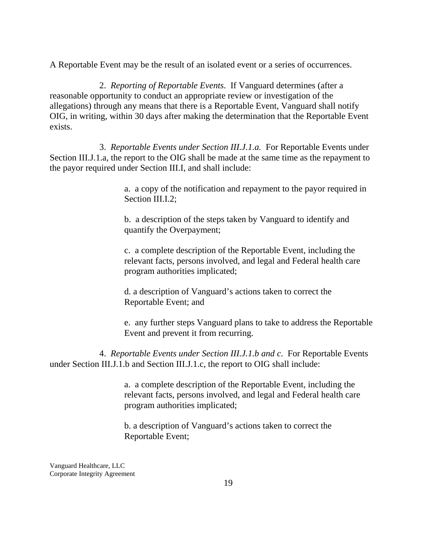A Reportable Event may be the result of an isolated event or a series of occurrences.

2. *Reporting of Reportable Events*. If Vanguard determines (after a reasonable opportunity to conduct an appropriate review or investigation of the allegations) through any means that there is a Reportable Event, Vanguard shall notify OIG, in writing, within 30 days after making the determination that the Reportable Event exists.

3. *Reportable Events under Section III.J.1.a.* For Reportable Events under Section III.J.1.a, the report to the OIG shall be made at the same time as the repayment to the payor required under Section III.I, and shall include:

> a. a copy of the notification and repayment to the payor required in Section III.I.2;

b. a description of the steps taken by Vanguard to identify and quantify the Overpayment;

c. a complete description of the Reportable Event, including the relevant facts, persons involved, and legal and Federal health care program authorities implicated;

d. a description of Vanguard's actions taken to correct the Reportable Event; and

e. any further steps Vanguard plans to take to address the Reportable Event and prevent it from recurring.

4. *Reportable Events under Section III.J.1.b and c*. For Reportable Events under Section III.J.1.b and Section III.J.1.c, the report to OIG shall include:

> a. a complete description of the Reportable Event, including the relevant facts, persons involved, and legal and Federal health care program authorities implicated;

b. a description of Vanguard's actions taken to correct the Reportable Event;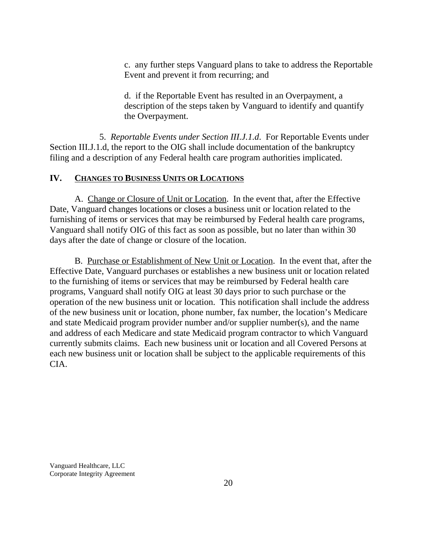c. any further steps Vanguard plans to take to address the Reportable Event and prevent it from recurring; and

d. if the Reportable Event has resulted in an Overpayment, a description of the steps taken by Vanguard to identify and quantify the Overpayment.

5. *Reportable Events under Section III.J.1.d*. For Reportable Events under Section III.J.1.d, the report to the OIG shall include documentation of the bankruptcy filing and a description of any Federal health care program authorities implicated.

# **IV. CHANGES TO BUSINESS UNITS OR LOCATIONS**

A. Change or Closure of Unit or Location. In the event that, after the Effective Date, Vanguard changes locations or closes a business unit or location related to the furnishing of items or services that may be reimbursed by Federal health care programs, Vanguard shall notify OIG of this fact as soon as possible, but no later than within 30 days after the date of change or closure of the location.

B. Purchase or Establishment of New Unit or Location. In the event that, after the Effective Date, Vanguard purchases or establishes a new business unit or location related to the furnishing of items or services that may be reimbursed by Federal health care programs, Vanguard shall notify OIG at least 30 days prior to such purchase or the operation of the new business unit or location. This notification shall include the address of the new business unit or location, phone number, fax number, the location's Medicare and state Medicaid program provider number and/or supplier number(s), and the name and address of each Medicare and state Medicaid program contractor to which Vanguard currently submits claims. Each new business unit or location and all Covered Persons at each new business unit or location shall be subject to the applicable requirements of this CIA.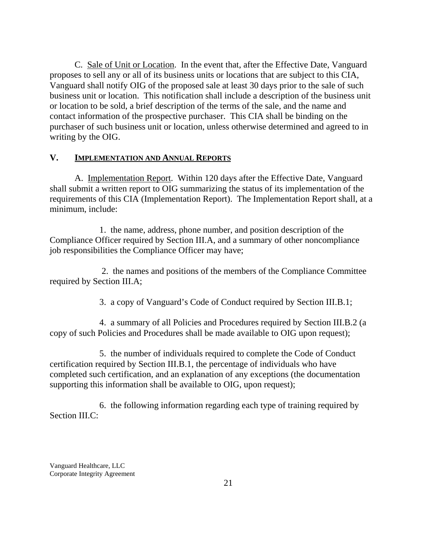C. Sale of Unit or Location. In the event that, after the Effective Date, Vanguard proposes to sell any or all of its business units or locations that are subject to this CIA, Vanguard shall notify OIG of the proposed sale at least 30 days prior to the sale of such business unit or location. This notification shall include a description of the business unit or location to be sold, a brief description of the terms of the sale, and the name and contact information of the prospective purchaser. This CIA shall be binding on the purchaser of such business unit or location, unless otherwise determined and agreed to in writing by the OIG.

## **V. IMPLEMENTATION AND ANNUAL REPORTS**

A. Implementation Report. Within 120 days after the Effective Date, Vanguard shall submit a written report to OIG summarizing the status of its implementation of the requirements of this CIA (Implementation Report). The Implementation Report shall, at a minimum, include:

1. the name, address, phone number, and position description of the Compliance Officer required by Section III.A, and a summary of other noncompliance job responsibilities the Compliance Officer may have;

 2. the names and positions of the members of the Compliance Committee required by Section III.A;

3. a copy of Vanguard's Code of Conduct required by Section III.B.1;

4. a summary of all Policies and Procedures required by Section III.B.2 (a copy of such Policies and Procedures shall be made available to OIG upon request);

5. the number of individuals required to complete the Code of Conduct certification required by Section III.B.1, the percentage of individuals who have completed such certification, and an explanation of any exceptions (the documentation supporting this information shall be available to OIG, upon request);

6. the following information regarding each type of training required by Section III.C: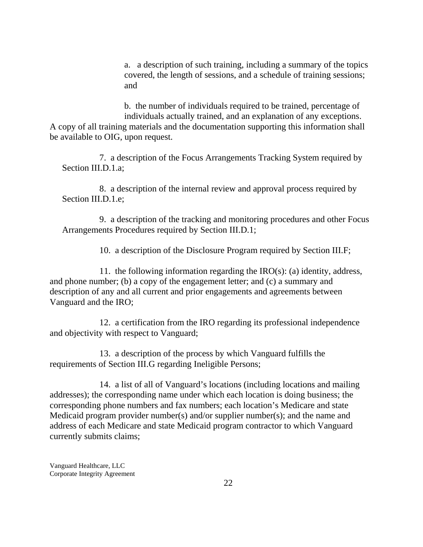a. a description of such training, including a summary of the topics covered, the length of sessions, and a schedule of training sessions; and

b. the number of individuals required to be trained, percentage of individuals actually trained, and an explanation of any exceptions. A copy of all training materials and the documentation supporting this information shall be available to OIG, upon request.

7. a description of the Focus Arrangements Tracking System required by Section III.D.1.a;

8. a description of the internal review and approval process required by Section III.D.1.e;

9. a description of the tracking and monitoring procedures and other Focus Arrangements Procedures required by Section III.D.1;

10. a description of the Disclosure Program required by Section III.F;

11. the following information regarding the IRO(s): (a) identity, address, and phone number; (b) a copy of the engagement letter; and (c) a summary and description of any and all current and prior engagements and agreements between Vanguard and the IRO;

12. a certification from the IRO regarding its professional independence and objectivity with respect to Vanguard;

13. a description of the process by which Vanguard fulfills the requirements of Section III.G regarding Ineligible Persons;

14. a list of all of Vanguard's locations (including locations and mailing addresses); the corresponding name under which each location is doing business; the corresponding phone numbers and fax numbers; each location's Medicare and state Medicaid program provider number(s) and/or supplier number(s); and the name and address of each Medicare and state Medicaid program contractor to which Vanguard currently submits claims;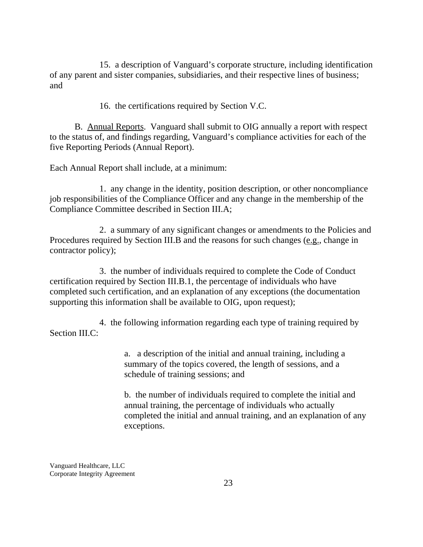15. a description of Vanguard's corporate structure, including identification of any parent and sister companies, subsidiaries, and their respective lines of business; and

16. the certifications required by Section V.C.

B. Annual Reports. Vanguard shall submit to OIG annually a report with respect to the status of, and findings regarding, Vanguard's compliance activities for each of the five Reporting Periods (Annual Report).

Each Annual Report shall include, at a minimum:

1. any change in the identity, position description, or other noncompliance job responsibilities of the Compliance Officer and any change in the membership of the Compliance Committee described in Section III.A;

2. a summary of any significant changes or amendments to the Policies and Procedures required by Section III.B and the reasons for such changes (e.g., change in contractor policy);

3. the number of individuals required to complete the Code of Conduct certification required by Section III.B.1, the percentage of individuals who have completed such certification, and an explanation of any exceptions (the documentation supporting this information shall be available to OIG, upon request);

4. the following information regarding each type of training required by Section III.C:

> a. a description of the initial and annual training, including a summary of the topics covered, the length of sessions, and a schedule of training sessions; and

b. the number of individuals required to complete the initial and annual training, the percentage of individuals who actually completed the initial and annual training, and an explanation of any exceptions.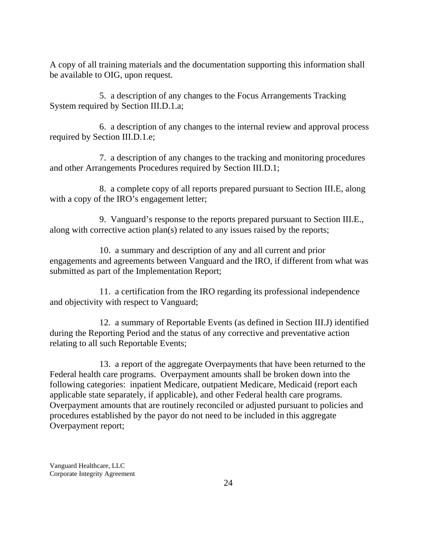A copy of all training materials and the documentation supporting this information shall be available to OIG, upon request.

5. a description of any changes to the Focus Arrangements Tracking System required by Section III.D.1.a;

6. a description of any changes to the internal review and approval process required by Section III.D.1.e;

7. a description of any changes to the tracking and monitoring procedures and other Arrangements Procedures required by Section III.D.1;

8. a complete copy of all reports prepared pursuant to Section III.E, along with a copy of the IRO's engagement letter;

9. Vanguard's response to the reports prepared pursuant to Section III.E., along with corrective action plan(s) related to any issues raised by the reports;

10. a summary and description of any and all current and prior engagements and agreements between Vanguard and the IRO, if different from what was submitted as part of the Implementation Report;

11. a certification from the IRO regarding its professional independence and objectivity with respect to Vanguard;

12. a summary of Reportable Events (as defined in Section III.J) identified during the Reporting Period and the status of any corrective and preventative action relating to all such Reportable Events;

13. a report of the aggregate Overpayments that have been returned to the Federal health care programs. Overpayment amounts shall be broken down into the following categories: inpatient Medicare, outpatient Medicare, Medicaid (report each applicable state separately, if applicable), and other Federal health care programs. Overpayment amounts that are routinely reconciled or adjusted pursuant to policies and procedures established by the payor do not need to be included in this aggregate Overpayment report;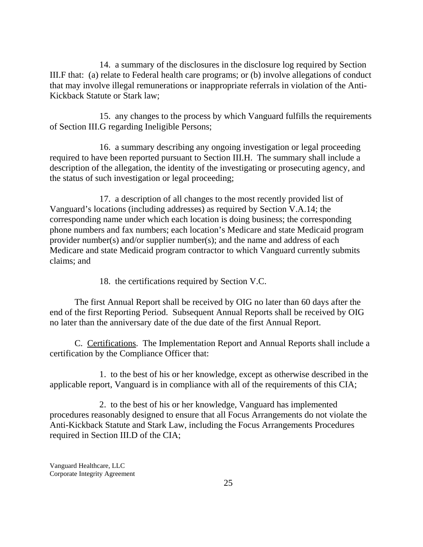14. a summary of the disclosures in the disclosure log required by Section III.F that: (a) relate to Federal health care programs; or (b) involve allegations of conduct that may involve illegal remunerations or inappropriate referrals in violation of the Anti-Kickback Statute or Stark law;

15. any changes to the process by which Vanguard fulfills the requirements of Section III.G regarding Ineligible Persons;

16. a summary describing any ongoing investigation or legal proceeding required to have been reported pursuant to Section III.H. The summary shall include a description of the allegation, the identity of the investigating or prosecuting agency, and the status of such investigation or legal proceeding;

17. a description of all changes to the most recently provided list of Vanguard's locations (including addresses) as required by Section V.A.14; the corresponding name under which each location is doing business; the corresponding phone numbers and fax numbers; each location's Medicare and state Medicaid program provider number(s) and/or supplier number(s); and the name and address of each Medicare and state Medicaid program contractor to which Vanguard currently submits claims; and

18. the certifications required by Section V.C.

The first Annual Report shall be received by OIG no later than 60 days after the end of the first Reporting Period. Subsequent Annual Reports shall be received by OIG no later than the anniversary date of the due date of the first Annual Report.

C. Certifications. The Implementation Report and Annual Reports shall include a certification by the Compliance Officer that:

1. to the best of his or her knowledge, except as otherwise described in the applicable report, Vanguard is in compliance with all of the requirements of this CIA;

2. to the best of his or her knowledge, Vanguard has implemented procedures reasonably designed to ensure that all Focus Arrangements do not violate the Anti-Kickback Statute and Stark Law, including the Focus Arrangements Procedures required in Section III.D of the CIA;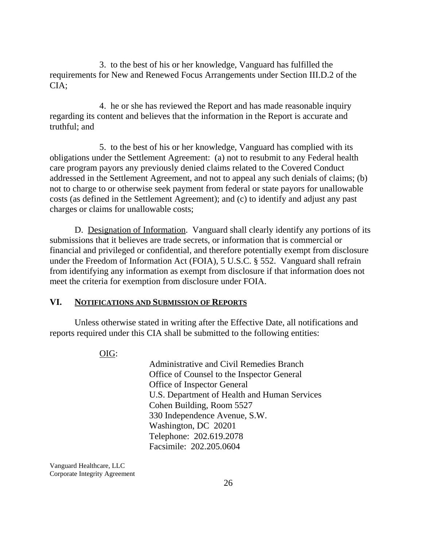3. to the best of his or her knowledge, Vanguard has fulfilled the requirements for New and Renewed Focus Arrangements under Section III.D.2 of the CIA;

4. he or she has reviewed the Report and has made reasonable inquiry regarding its content and believes that the information in the Report is accurate and truthful; and

5. to the best of his or her knowledge, Vanguard has complied with its obligations under the Settlement Agreement: (a) not to resubmit to any Federal health care program payors any previously denied claims related to the Covered Conduct addressed in the Settlement Agreement, and not to appeal any such denials of claims; (b) not to charge to or otherwise seek payment from federal or state payors for unallowable costs (as defined in the Settlement Agreement); and (c) to identify and adjust any past charges or claims for unallowable costs;

D. Designation of Information. Vanguard shall clearly identify any portions of its submissions that it believes are trade secrets, or information that is commercial or financial and privileged or confidential, and therefore potentially exempt from disclosure under the Freedom of Information Act (FOIA), 5 U.S.C. § 552. Vanguard shall refrain from identifying any information as exempt from disclosure if that information does not meet the criteria for exemption from disclosure under FOIA.

#### **VI. NOTIFICATIONS AND SUBMISSION OF REPORTS**

Unless otherwise stated in writing after the Effective Date, all notifications and reports required under this CIA shall be submitted to the following entities:

OIG:

Administrative and Civil Remedies Branch Office of Counsel to the Inspector General Office of Inspector General U.S. Department of Health and Human Services Cohen Building, Room 5527 330 Independence Avenue, S.W. Washington, DC 20201 Telephone: 202.619.2078 Facsimile: 202.205.0604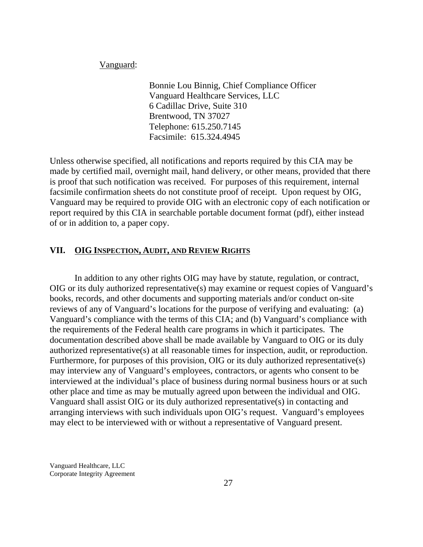Vanguard:

Bonnie Lou Binnig, Chief Compliance Officer Vanguard Healthcare Services, LLC 6 Cadillac Drive, Suite 310 Brentwood, TN 37027 Telephone: 615.250.7145 Facsimile: 615.324.4945

Unless otherwise specified, all notifications and reports required by this CIA may be made by certified mail, overnight mail, hand delivery, or other means, provided that there is proof that such notification was received. For purposes of this requirement, internal facsimile confirmation sheets do not constitute proof of receipt. Upon request by OIG, Vanguard may be required to provide OIG with an electronic copy of each notification or report required by this CIA in searchable portable document format (pdf), either instead of or in addition to, a paper copy.

## **VII. OIG INSPECTION, AUDIT, AND REVIEW RIGHTS**

In addition to any other rights OIG may have by statute, regulation, or contract, OIG or its duly authorized representative(s) may examine or request copies of Vanguard's books, records, and other documents and supporting materials and/or conduct on-site reviews of any of Vanguard's locations for the purpose of verifying and evaluating: (a) Vanguard's compliance with the terms of this CIA; and (b) Vanguard's compliance with the requirements of the Federal health care programs in which it participates. The documentation described above shall be made available by Vanguard to OIG or its duly authorized representative(s) at all reasonable times for inspection, audit, or reproduction. Furthermore, for purposes of this provision, OIG or its duly authorized representative(s) may interview any of Vanguard's employees, contractors, or agents who consent to be interviewed at the individual's place of business during normal business hours or at such other place and time as may be mutually agreed upon between the individual and OIG. Vanguard shall assist OIG or its duly authorized representative(s) in contacting and arranging interviews with such individuals upon OIG's request. Vanguard's employees may elect to be interviewed with or without a representative of Vanguard present.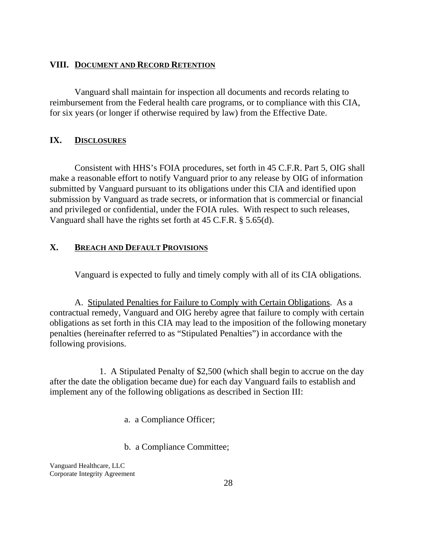## **VIII. DOCUMENT AND RECORD RETENTION**

Vanguard shall maintain for inspection all documents and records relating to reimbursement from the Federal health care programs, or to compliance with this CIA, for six years (or longer if otherwise required by law) from the Effective Date.

## **IX. DISCLOSURES**

Consistent with HHS's FOIA procedures, set forth in 45 C.F.R. Part 5, OIG shall make a reasonable effort to notify Vanguard prior to any release by OIG of information submitted by Vanguard pursuant to its obligations under this CIA and identified upon submission by Vanguard as trade secrets, or information that is commercial or financial and privileged or confidential, under the FOIA rules. With respect to such releases, Vanguard shall have the rights set forth at 45 C.F.R. § 5.65(d).

# **X. BREACH AND DEFAULT PROVISIONS**

Vanguard is expected to fully and timely comply with all of its CIA obligations.

A. Stipulated Penalties for Failure to Comply with Certain Obligations. As a contractual remedy, Vanguard and OIG hereby agree that failure to comply with certain obligations as set forth in this CIA may lead to the imposition of the following monetary penalties (hereinafter referred to as "Stipulated Penalties") in accordance with the following provisions.

1. A Stipulated Penalty of \$2,500 (which shall begin to accrue on the day after the date the obligation became due) for each day Vanguard fails to establish and implement any of the following obligations as described in Section III:

a. a Compliance Officer;

b. a Compliance Committee;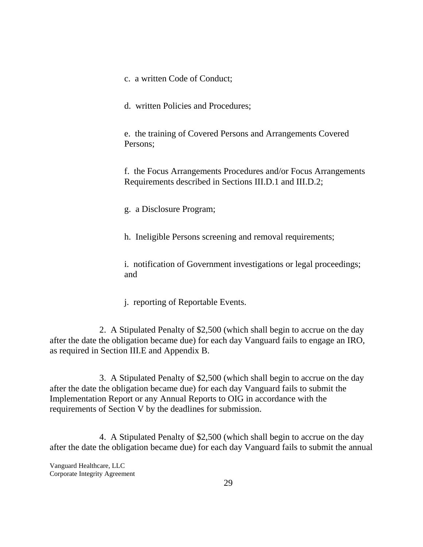- c. a written Code of Conduct;
- d. written Policies and Procedures;

e. the training of Covered Persons and Arrangements Covered Persons;

f. the Focus Arrangements Procedures and/or Focus Arrangements Requirements described in Sections III.D.1 and III.D.2;

g. a Disclosure Program;

h. Ineligible Persons screening and removal requirements;

i. notification of Government investigations or legal proceedings; and

j. reporting of Reportable Events.

2. A Stipulated Penalty of \$2,500 (which shall begin to accrue on the day after the date the obligation became due) for each day Vanguard fails to engage an IRO, as required in Section III.E and Appendix B.

3. A Stipulated Penalty of \$2,500 (which shall begin to accrue on the day after the date the obligation became due) for each day Vanguard fails to submit the Implementation Report or any Annual Reports to OIG in accordance with the requirements of Section V by the deadlines for submission.

4. A Stipulated Penalty of \$2,500 (which shall begin to accrue on the day after the date the obligation became due) for each day Vanguard fails to submit the annual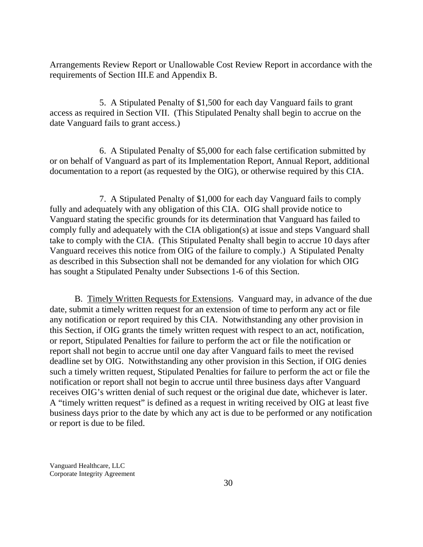Arrangements Review Report or Unallowable Cost Review Report in accordance with the requirements of Section III.E and Appendix B.

5. A Stipulated Penalty of \$1,500 for each day Vanguard fails to grant access as required in Section VII. (This Stipulated Penalty shall begin to accrue on the date Vanguard fails to grant access.)

6. A Stipulated Penalty of \$5,000 for each false certification submitted by or on behalf of Vanguard as part of its Implementation Report, Annual Report, additional documentation to a report (as requested by the OIG), or otherwise required by this CIA.

7. A Stipulated Penalty of \$1,000 for each day Vanguard fails to comply fully and adequately with any obligation of this CIA. OIG shall provide notice to Vanguard stating the specific grounds for its determination that Vanguard has failed to comply fully and adequately with the CIA obligation(s) at issue and steps Vanguard shall take to comply with the CIA. (This Stipulated Penalty shall begin to accrue 10 days after Vanguard receives this notice from OIG of the failure to comply.) A Stipulated Penalty as described in this Subsection shall not be demanded for any violation for which OIG has sought a Stipulated Penalty under Subsections 1-6 of this Section.

B. Timely Written Requests for Extensions. Vanguard may, in advance of the due date, submit a timely written request for an extension of time to perform any act or file any notification or report required by this CIA. Notwithstanding any other provision in this Section, if OIG grants the timely written request with respect to an act, notification, or report, Stipulated Penalties for failure to perform the act or file the notification or report shall not begin to accrue until one day after Vanguard fails to meet the revised deadline set by OIG. Notwithstanding any other provision in this Section, if OIG denies such a timely written request, Stipulated Penalties for failure to perform the act or file the notification or report shall not begin to accrue until three business days after Vanguard receives OIG's written denial of such request or the original due date, whichever is later. A "timely written request" is defined as a request in writing received by OIG at least five business days prior to the date by which any act is due to be performed or any notification or report is due to be filed.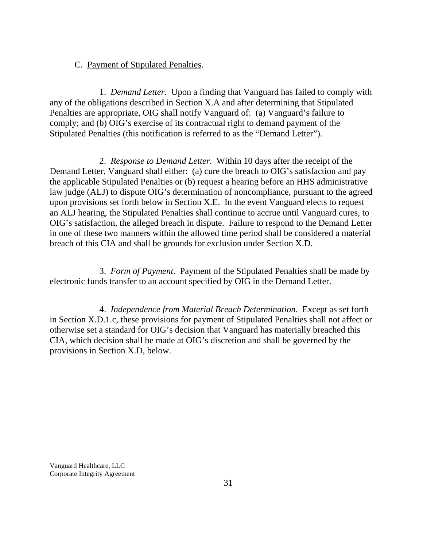#### C. Payment of Stipulated Penalties.

1. *Demand Letter*. Upon a finding that Vanguard has failed to comply with any of the obligations described in Section X.A and after determining that Stipulated Penalties are appropriate, OIG shall notify Vanguard of: (a) Vanguard's failure to comply; and (b) OIG's exercise of its contractual right to demand payment of the Stipulated Penalties (this notification is referred to as the "Demand Letter").

2. *Response to Demand Letter.* Within 10 days after the receipt of the Demand Letter, Vanguard shall either: (a) cure the breach to OIG's satisfaction and pay the applicable Stipulated Penalties or (b) request a hearing before an HHS administrative law judge (ALJ) to dispute OIG's determination of noncompliance, pursuant to the agreed upon provisions set forth below in Section X.E. In the event Vanguard elects to request an ALJ hearing, the Stipulated Penalties shall continue to accrue until Vanguard cures, to OIG's satisfaction, the alleged breach in dispute. Failure to respond to the Demand Letter in one of these two manners within the allowed time period shall be considered a material breach of this CIA and shall be grounds for exclusion under Section X.D.

3. *Form of Payment*. Payment of the Stipulated Penalties shall be made by electronic funds transfer to an account specified by OIG in the Demand Letter.

4. *Independence from Material Breach Determination*. Except as set forth in Section X.D.1.c, these provisions for payment of Stipulated Penalties shall not affect or otherwise set a standard for OIG's decision that Vanguard has materially breached this CIA, which decision shall be made at OIG's discretion and shall be governed by the provisions in Section X.D, below.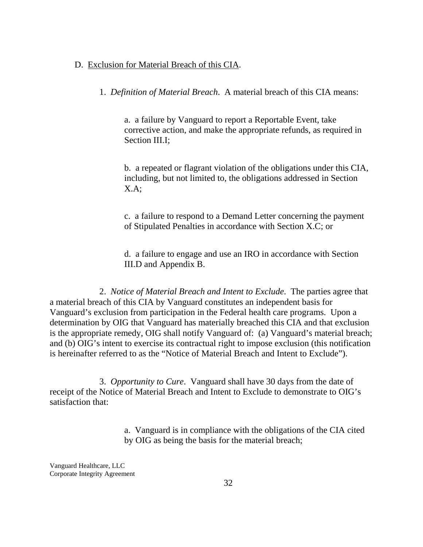#### D. Exclusion for Material Breach of this CIA.

1. *Definition of Material Breach*. A material breach of this CIA means:

a. a failure by Vanguard to report a Reportable Event, take corrective action, and make the appropriate refunds, as required in Section III.I;

b. a repeated or flagrant violation of the obligations under this CIA, including, but not limited to, the obligations addressed in Section X.A;

c. a failure to respond to a Demand Letter concerning the payment of Stipulated Penalties in accordance with Section X.C; or

d. a failure to engage and use an IRO in accordance with Section III.D and Appendix B.

2. *Notice of Material Breach and Intent to Exclude*. The parties agree that a material breach of this CIA by Vanguard constitutes an independent basis for Vanguard's exclusion from participation in the Federal health care programs. Upon a determination by OIG that Vanguard has materially breached this CIA and that exclusion is the appropriate remedy, OIG shall notify Vanguard of: (a) Vanguard's material breach; and (b) OIG's intent to exercise its contractual right to impose exclusion (this notification is hereinafter referred to as the "Notice of Material Breach and Intent to Exclude").

3. *Opportunity to Cure*. Vanguard shall have 30 days from the date of receipt of the Notice of Material Breach and Intent to Exclude to demonstrate to OIG's satisfaction that:

> a. Vanguard is in compliance with the obligations of the CIA cited by OIG as being the basis for the material breach;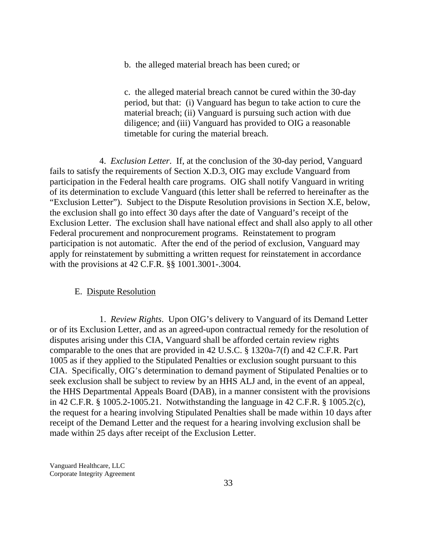b. the alleged material breach has been cured; or

c. the alleged material breach cannot be cured within the 30-day period, but that: (i) Vanguard has begun to take action to cure the material breach; (ii) Vanguard is pursuing such action with due diligence; and (iii) Vanguard has provided to OIG a reasonable timetable for curing the material breach.

4. *Exclusion Letter*. If, at the conclusion of the 30-day period, Vanguard fails to satisfy the requirements of Section X.D.3, OIG may exclude Vanguard from participation in the Federal health care programs. OIG shall notify Vanguard in writing of its determination to exclude Vanguard (this letter shall be referred to hereinafter as the "Exclusion Letter"). Subject to the Dispute Resolution provisions in Section X.E, below, the exclusion shall go into effect 30 days after the date of Vanguard's receipt of the Exclusion Letter. The exclusion shall have national effect and shall also apply to all other Federal procurement and nonprocurement programs. Reinstatement to program participation is not automatic. After the end of the period of exclusion, Vanguard may apply for reinstatement by submitting a written request for reinstatement in accordance with the provisions at 42 C.F.R. §§ 1001.3001-.3004.

#### E. Dispute Resolution

1. *Review Rights*. Upon OIG's delivery to Vanguard of its Demand Letter or of its Exclusion Letter, and as an agreed-upon contractual remedy for the resolution of disputes arising under this CIA, Vanguard shall be afforded certain review rights comparable to the ones that are provided in 42 U.S.C. § 1320a-7(f) and 42 C.F.R. Part 1005 as if they applied to the Stipulated Penalties or exclusion sought pursuant to this CIA. Specifically, OIG's determination to demand payment of Stipulated Penalties or to seek exclusion shall be subject to review by an HHS ALJ and, in the event of an appeal, the HHS Departmental Appeals Board (DAB), in a manner consistent with the provisions in 42 C.F.R. § 1005.2-1005.21. Notwithstanding the language in 42 C.F.R. § 1005.2(c), the request for a hearing involving Stipulated Penalties shall be made within 10 days after receipt of the Demand Letter and the request for a hearing involving exclusion shall be made within 25 days after receipt of the Exclusion Letter.

Vanguard Healthcare, LLC Corporate Integrity Agreement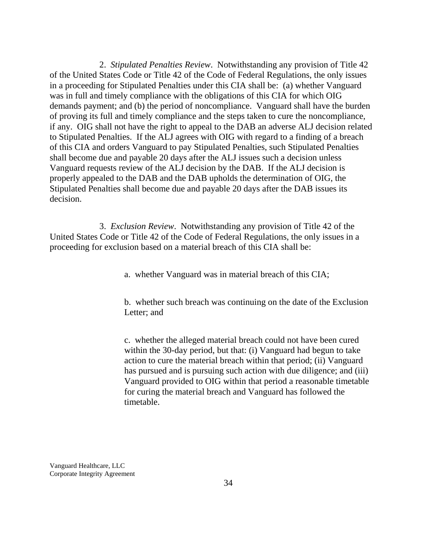2. *Stipulated Penalties Review*. Notwithstanding any provision of Title 42 of the United States Code or Title 42 of the Code of Federal Regulations, the only issues in a proceeding for Stipulated Penalties under this CIA shall be: (a) whether Vanguard was in full and timely compliance with the obligations of this CIA for which OIG demands payment; and (b) the period of noncompliance. Vanguard shall have the burden of proving its full and timely compliance and the steps taken to cure the noncompliance, if any. OIG shall not have the right to appeal to the DAB an adverse ALJ decision related to Stipulated Penalties. If the ALJ agrees with OIG with regard to a finding of a breach of this CIA and orders Vanguard to pay Stipulated Penalties, such Stipulated Penalties shall become due and payable 20 days after the ALJ issues such a decision unless Vanguard requests review of the ALJ decision by the DAB. If the ALJ decision is properly appealed to the DAB and the DAB upholds the determination of OIG, the Stipulated Penalties shall become due and payable 20 days after the DAB issues its decision.

3. *Exclusion Review*. Notwithstanding any provision of Title 42 of the United States Code or Title 42 of the Code of Federal Regulations, the only issues in a proceeding for exclusion based on a material breach of this CIA shall be:

a. whether Vanguard was in material breach of this CIA;

b. whether such breach was continuing on the date of the Exclusion Letter; and

c. whether the alleged material breach could not have been cured within the 30-day period, but that: (i) Vanguard had begun to take action to cure the material breach within that period; (ii) Vanguard has pursued and is pursuing such action with due diligence; and (iii) Vanguard provided to OIG within that period a reasonable timetable for curing the material breach and Vanguard has followed the timetable.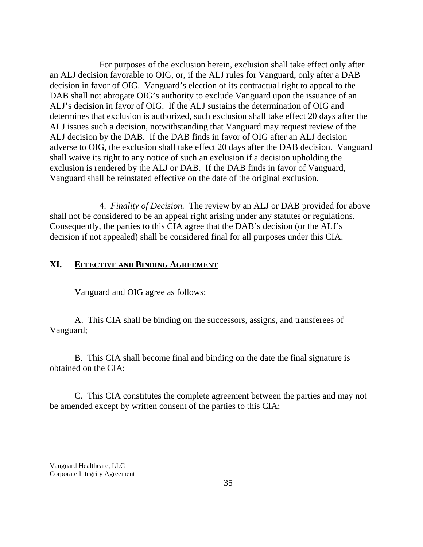For purposes of the exclusion herein, exclusion shall take effect only after an ALJ decision favorable to OIG, or, if the ALJ rules for Vanguard, only after a DAB decision in favor of OIG. Vanguard's election of its contractual right to appeal to the DAB shall not abrogate OIG's authority to exclude Vanguard upon the issuance of an ALJ's decision in favor of OIG. If the ALJ sustains the determination of OIG and determines that exclusion is authorized, such exclusion shall take effect 20 days after the ALJ issues such a decision, notwithstanding that Vanguard may request review of the ALJ decision by the DAB. If the DAB finds in favor of OIG after an ALJ decision adverse to OIG, the exclusion shall take effect 20 days after the DAB decision. Vanguard shall waive its right to any notice of such an exclusion if a decision upholding the exclusion is rendered by the ALJ or DAB. If the DAB finds in favor of Vanguard, Vanguard shall be reinstated effective on the date of the original exclusion.

4. *Finality of Decision.* The review by an ALJ or DAB provided for above shall not be considered to be an appeal right arising under any statutes or regulations. Consequently, the parties to this CIA agree that the DAB's decision (or the ALJ's decision if not appealed) shall be considered final for all purposes under this CIA.

#### **XI. EFFECTIVE AND BINDING AGREEMENT**

Vanguard and OIG agree as follows:

A. This CIA shall be binding on the successors, assigns, and transferees of Vanguard;

B. This CIA shall become final and binding on the date the final signature is obtained on the CIA;

C. This CIA constitutes the complete agreement between the parties and may not be amended except by written consent of the parties to this CIA;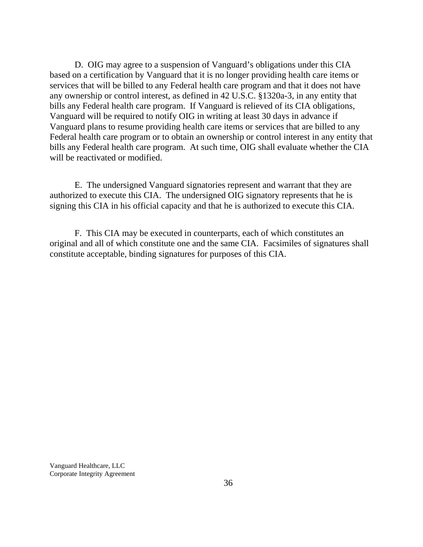D. OIG may agree to a suspension of Vanguard's obligations under this CIA based on a certification by Vanguard that it is no longer providing health care items or services that will be billed to any Federal health care program and that it does not have any ownership or control interest, as defined in 42 U.S.C. §1320a-3, in any entity that bills any Federal health care program. If Vanguard is relieved of its CIA obligations, Vanguard will be required to notify OIG in writing at least 30 days in advance if Vanguard plans to resume providing health care items or services that are billed to any Federal health care program or to obtain an ownership or control interest in any entity that bills any Federal health care program. At such time, OIG shall evaluate whether the CIA will be reactivated or modified.

E. The undersigned Vanguard signatories represent and warrant that they are authorized to execute this CIA. The undersigned OIG signatory represents that he is signing this CIA in his official capacity and that he is authorized to execute this CIA.

F. This CIA may be executed in counterparts, each of which constitutes an original and all of which constitute one and the same CIA. Facsimiles of signatures shall constitute acceptable, binding signatures for purposes of this CIA.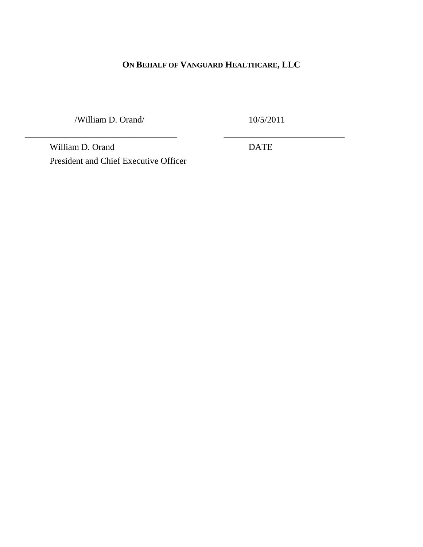# **ON BEHALF OF VANGUARD HEALTHCARE, LLC**

/William D. Orand/

\_\_\_\_\_\_\_\_\_\_\_\_\_\_\_\_\_\_\_\_\_\_\_\_\_\_\_\_\_\_\_\_\_\_

10/5/2011

\_\_\_\_\_\_\_\_\_\_\_\_\_\_\_\_\_\_\_\_\_\_\_\_\_\_\_

William D. Orand President and Chief Executive Officer DATE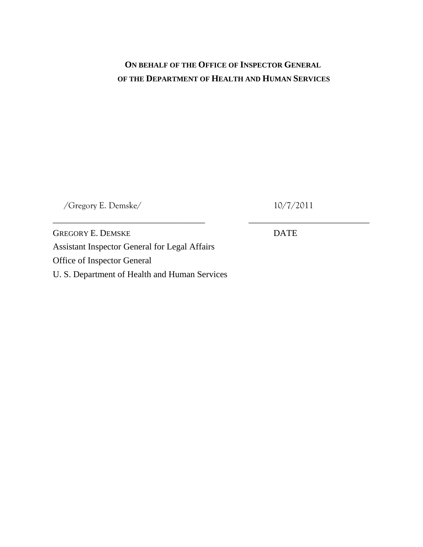# **ON BEHALF OF THE OFFICE OF INSPECTOR GENERAL OF THE DEPARTMENT OF HEALTH AND HUMAN SERVICES**

/Gregory E. Demske/

10/7/2011

\_\_\_\_\_\_\_\_\_\_\_\_\_\_\_\_\_\_\_\_\_\_\_\_\_\_\_

GREGORY E. DEMSKE Assistant Inspector General for Legal Affairs Office of Inspector General U. S. Department of Health and Human Services

\_\_\_\_\_\_\_\_\_\_\_\_\_\_\_\_\_\_\_\_\_\_\_\_\_\_\_\_\_\_\_\_\_\_

DATE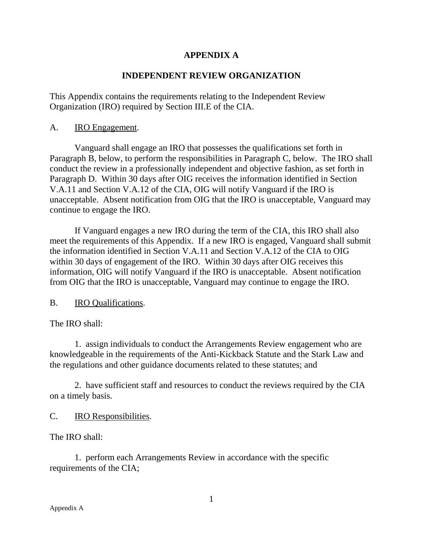# **APPENDIX A**

# **INDEPENDENT REVIEW ORGANIZATION**

This Appendix contains the requirements relating to the Independent Review Organization (IRO) required by Section III.E of the CIA.

## A. IRO Engagement.

Vanguard shall engage an IRO that possesses the qualifications set forth in Paragraph B, below, to perform the responsibilities in Paragraph C, below. The IRO shall conduct the review in a professionally independent and objective fashion, as set forth in Paragraph D. Within 30 days after OIG receives the information identified in Section V.A.11 and Section V.A.12 of the CIA, OIG will notify Vanguard if the IRO is unacceptable. Absent notification from OIG that the IRO is unacceptable, Vanguard may continue to engage the IRO.

If Vanguard engages a new IRO during the term of the CIA, this IRO shall also meet the requirements of this Appendix. If a new IRO is engaged, Vanguard shall submit the information identified in Section V.A.11 and Section V.A.12 of the CIA to OIG within 30 days of engagement of the IRO. Within 30 days after OIG receives this information, OIG will notify Vanguard if the IRO is unacceptable. Absent notification from OIG that the IRO is unacceptable, Vanguard may continue to engage the IRO.

B. IRO Qualifications.

The IRO shall:

1. assign individuals to conduct the Arrangements Review engagement who are knowledgeable in the requirements of the Anti-Kickback Statute and the Stark Law and the regulations and other guidance documents related to these statutes; and

2. have sufficient staff and resources to conduct the reviews required by the CIA on a timely basis.

C. IRO Responsibilities.

The IRO shall:

1. perform each Arrangements Review in accordance with the specific requirements of the CIA;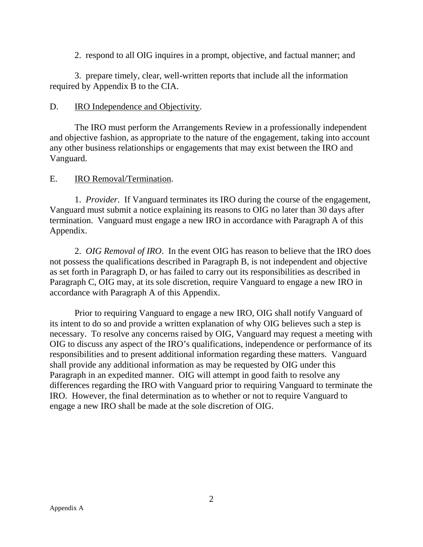2. respond to all OIG inquires in a prompt, objective, and factual manner; and

3. prepare timely, clear, well-written reports that include all the information required by Appendix B to the CIA.

# D. **IRO Independence and Objectivity.**

The IRO must perform the Arrangements Review in a professionally independent and objective fashion, as appropriate to the nature of the engagement, taking into account any other business relationships or engagements that may exist between the IRO and Vanguard.

## E. IRO Removal/Termination.

1. *Provider*. If Vanguard terminates its IRO during the course of the engagement, Vanguard must submit a notice explaining its reasons to OIG no later than 30 days after termination. Vanguard must engage a new IRO in accordance with Paragraph A of this Appendix.

2. *OIG Removal of IRO*. In the event OIG has reason to believe that the IRO does not possess the qualifications described in Paragraph B, is not independent and objective as set forth in Paragraph D, or has failed to carry out its responsibilities as described in Paragraph C, OIG may, at its sole discretion, require Vanguard to engage a new IRO in accordance with Paragraph A of this Appendix.

Prior to requiring Vanguard to engage a new IRO, OIG shall notify Vanguard of its intent to do so and provide a written explanation of why OIG believes such a step is necessary. To resolve any concerns raised by OIG, Vanguard may request a meeting with OIG to discuss any aspect of the IRO's qualifications, independence or performance of its responsibilities and to present additional information regarding these matters. Vanguard shall provide any additional information as may be requested by OIG under this Paragraph in an expedited manner. OIG will attempt in good faith to resolve any differences regarding the IRO with Vanguard prior to requiring Vanguard to terminate the IRO. However, the final determination as to whether or not to require Vanguard to engage a new IRO shall be made at the sole discretion of OIG.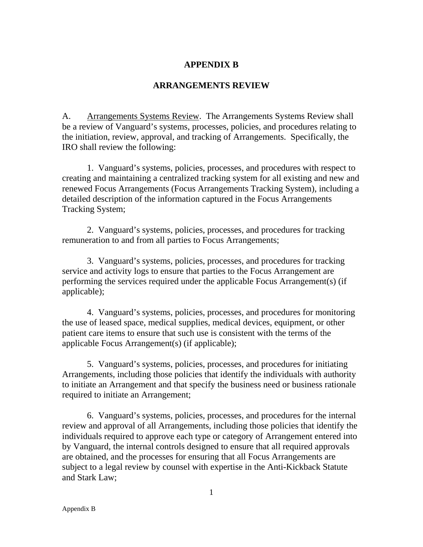## **APPENDIX B**

## **ARRANGEMENTS REVIEW**

A. Arrangements Systems Review. The Arrangements Systems Review shall be a review of Vanguard's systems, processes, policies, and procedures relating to the initiation, review, approval, and tracking of Arrangements. Specifically, the IRO shall review the following:

1. Vanguard's systems, policies, processes, and procedures with respect to creating and maintaining a centralized tracking system for all existing and new and renewed Focus Arrangements (Focus Arrangements Tracking System), including a detailed description of the information captured in the Focus Arrangements Tracking System;

2. Vanguard's systems, policies, processes, and procedures for tracking remuneration to and from all parties to Focus Arrangements;

3. Vanguard's systems, policies, processes, and procedures for tracking service and activity logs to ensure that parties to the Focus Arrangement are performing the services required under the applicable Focus Arrangement(s) (if applicable);

4. Vanguard's systems, policies, processes, and procedures for monitoring the use of leased space, medical supplies, medical devices, equipment, or other patient care items to ensure that such use is consistent with the terms of the applicable Focus Arrangement(s) (if applicable);

5. Vanguard's systems, policies, processes, and procedures for initiating Arrangements, including those policies that identify the individuals with authority to initiate an Arrangement and that specify the business need or business rationale required to initiate an Arrangement;

6. Vanguard's systems, policies, processes, and procedures for the internal review and approval of all Arrangements, including those policies that identify the individuals required to approve each type or category of Arrangement entered into by Vanguard, the internal controls designed to ensure that all required approvals are obtained, and the processes for ensuring that all Focus Arrangements are subject to a legal review by counsel with expertise in the Anti-Kickback Statute and Stark Law;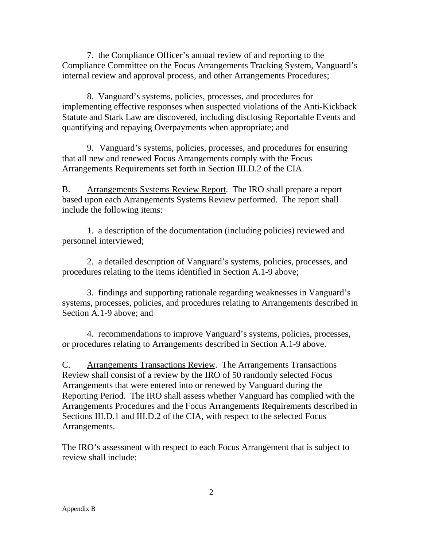7. the Compliance Officer's annual review of and reporting to the Compliance Committee on the Focus Arrangements Tracking System, Vanguard's internal review and approval process, and other Arrangements Procedures;

8. Vanguard's systems, policies, processes, and procedures for implementing effective responses when suspected violations of the Anti-Kickback Statute and Stark Law are discovered, including disclosing Reportable Events and quantifying and repaying Overpayments when appropriate; and

9. Vanguard's systems, policies, processes, and procedures for ensuring that all new and renewed Focus Arrangements comply with the Focus Arrangements Requirements set forth in Section III.D.2 of the CIA.

B. Arrangements Systems Review Report. The IRO shall prepare a report based upon each Arrangements Systems Review performed. The report shall include the following items:

1. a description of the documentation (including policies) reviewed and personnel interviewed;

2. a detailed description of Vanguard's systems, policies, processes, and procedures relating to the items identified in Section A.1-9 above;

3. findings and supporting rationale regarding weaknesses in Vanguard's systems, processes, policies, and procedures relating to Arrangements described in Section A.1-9 above; and

4. recommendations to improve Vanguard's systems, policies, processes, or procedures relating to Arrangements described in Section A.1-9 above.

C. Arrangements Transactions Review. The Arrangements Transactions Review shall consist of a review by the IRO of 50 randomly selected Focus Arrangements that were entered into or renewed by Vanguard during the Reporting Period. The IRO shall assess whether Vanguard has complied with the Arrangements Procedures and the Focus Arrangements Requirements described in Sections III.D.1 and III.D.2 of the CIA, with respect to the selected Focus Arrangements.

The IRO's assessment with respect to each Focus Arrangement that is subject to review shall include: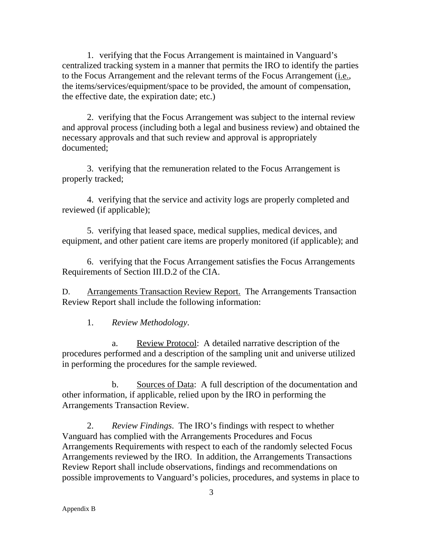1. verifying that the Focus Arrangement is maintained in Vanguard's centralized tracking system in a manner that permits the IRO to identify the parties to the Focus Arrangement and the relevant terms of the Focus Arrangement (i.e., the items/services/equipment/space to be provided, the amount of compensation, the effective date, the expiration date; etc.)

2. verifying that the Focus Arrangement was subject to the internal review and approval process (including both a legal and business review) and obtained the necessary approvals and that such review and approval is appropriately documented;

3. verifying that the remuneration related to the Focus Arrangement is properly tracked;

4. verifying that the service and activity logs are properly completed and reviewed (if applicable);

5. verifying that leased space, medical supplies, medical devices, and equipment, and other patient care items are properly monitored (if applicable); and

6. verifying that the Focus Arrangement satisfies the Focus Arrangements Requirements of Section III.D.2 of the CIA.

D. Arrangements Transaction Review Report. The Arrangements Transaction Review Report shall include the following information:

1. *Review Methodology*.

a. Review Protocol: A detailed narrative description of the procedures performed and a description of the sampling unit and universe utilized in performing the procedures for the sample reviewed.

b. Sources of Data: A full description of the documentation and other information, if applicable, relied upon by the IRO in performing the Arrangements Transaction Review.

2. *Review Findings*. The IRO's findings with respect to whether Vanguard has complied with the Arrangements Procedures and Focus Arrangements Requirements with respect to each of the randomly selected Focus Arrangements reviewed by the IRO. In addition, the Arrangements Transactions Review Report shall include observations, findings and recommendations on possible improvements to Vanguard's policies, procedures, and systems in place to